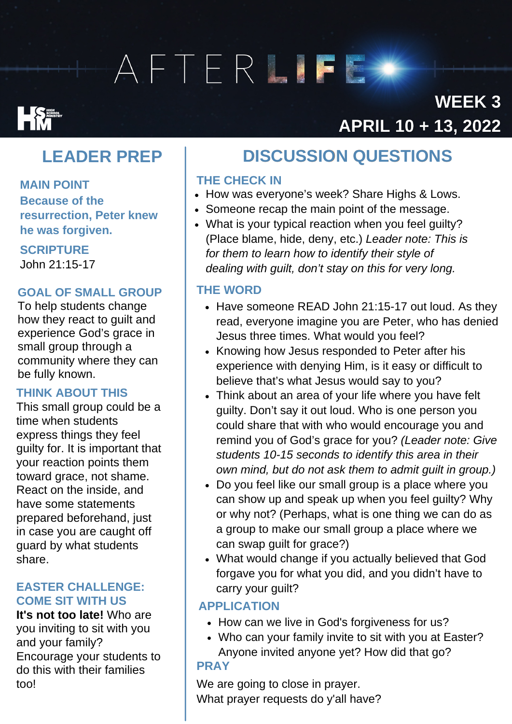# AFTERLIFE

## **Expanding Services**

### **WEEK3** APRIL 10 + 13, 2022

### **LEADER PREP**

**MAIN POINT Because of the resurrection, Peter knew he was forgiven.**

**SCRIPTURE**

John 21:15-17

### **GOAL OF SMALL GROUP**

To help students change how they react to guilt and experience God's grace in small group through a community where they can be fully known.

### **THINK ABOUT THIS**

This small group could be a time when students express things they feel guilty for. It is important that your reaction points them toward grace, not shame. React on the inside, and have some statements prepared beforehand, just in case you are caught off guard by what students share.

#### **EASTER CHALLENGE: COME SIT WITH US**

**It's not too late!** Who are you inviting to sit with you and your family? Encourage your students to do this with their families too!

### DISCUSSION QUESTIONS **DISCUSSIONQUESTIONS**

### **THE CHECK IN**

- How was everyone's week? Share Highs & Lows.
- Someone recap the main point of the message.
- What is your typical reaction when you feel guilty? (Place blame, hide, deny, etc.) *Leader note: This is for them to learn how to identify their style of dealing with guilt, don't stay on this for very long.*

### **THE WORD**

- Have someone READ John 21:15-17 out loud. As they read, everyone imagine you are Peter, who has denied Jesus three times. What would you feel?
- Knowing how Jesus responded to Peter after his experience with denying Him, is it easy or difficult to believe that's what Jesus would say to you?
- Think about an area of your life where you have felt guilty. Don't say it out loud. Who is one person you could share that with who would encourage you and remind you of God's grace for you? *(Leader note: Give students 10-15 seconds to identify this area in their own mind, but do not ask them to admit guilt in group.)*
- Do you feel like our small group is a place where you can show up and speak up when you feel guilty? Why or why not? (Perhaps, what is one thing we can do as a group to make our small group a place where we can swap guilt for grace?)
- What would change if you actually believed that God forgave you for what you did, and you didn't have to carry your guilt?

### **APPLICATION**

- How can we live in God's forgiveness for us?
- Who can your family invite to sit with you at Easter? Anyone invited anyone yet? How did that go? **PRAY**

### We are going to close in prayer. What prayer requests do y'all have?